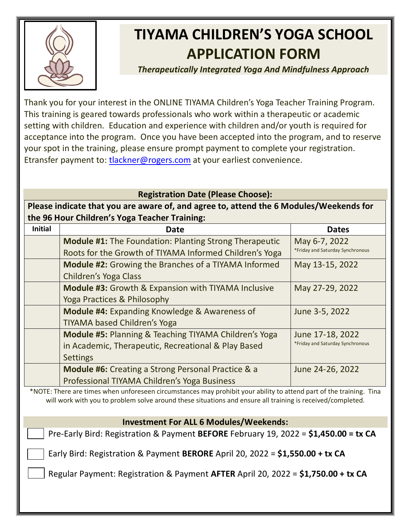

# **TIYAMA CHILDREN'S YOGA SCHOOL APPLICATION FORM**

*Therapeutically Integrated Yoga And Mindfulness Approach*

Thank you for your interest in the ONLINE TIYAMA Children's Yoga Teacher Training Program. This training is geared towards professionals who work within a therapeutic or academic setting with children. Education and experience with children and/or youth is required for acceptance into the program. Once you have been accepted into the program, and to reserve your spot in the training, please ensure prompt payment to complete your registration. Etransfer payment to: [tlackner@rogers.com](mailto:tlackner@rogers.com) at your earliest convenience.

## **Registration Date (Please Choose):**

**Please indicate that you are aware of, and agree to, attend the 6 Modules/Weekends for the 96 Hour Children's Yoga Teacher Training:** 

| <b>Initial</b> | Date                                                          | <b>Dates</b>                     |
|----------------|---------------------------------------------------------------|----------------------------------|
|                | <b>Module #1:</b> The Foundation: Planting Strong Therapeutic | May 6-7, 2022                    |
|                | Roots for the Growth of TIYAMA Informed Children's Yoga       | *Friday and Saturday Synchronous |
|                | <b>Module #2:</b> Growing the Branches of a TIYAMA Informed   | May 13-15, 2022                  |
|                | Children's Yoga Class                                         |                                  |
|                | <b>Module #3:</b> Growth & Expansion with TIYAMA Inclusive    | May 27-29, 2022                  |
|                | Yoga Practices & Philosophy                                   |                                  |
|                | <b>Module #4: Expanding Knowledge &amp; Awareness of</b>      | June 3-5, 2022                   |
|                | <b>TIYAMA based Children's Yoga</b>                           |                                  |
|                | Module #5: Planning & Teaching TIYAMA Children's Yoga         | June 17-18, 2022                 |
|                | in Academic, Therapeutic, Recreational & Play Based           | *Friday and Saturday Synchronous |
|                | <b>Settings</b>                                               |                                  |
|                | <b>Module #6:</b> Creating a Strong Personal Practice & a     | June 24-26, 2022                 |
|                | Professional TIYAMA Children's Yoga Business                  |                                  |

\*NOTE: There are times when unforeseen circumstances may prohibit your ability to attend part of the training. Tina will work with you to problem solve around these situations and ensure all training is received/completed.

### **Investment For ALL 6 Modules/Weekends:**

Pre-Early Bird: Registration & Payment **BEFORE** February 19, 2022 = **\$1,450.00 = tx CA**

Early Bird: Registration & Payment **BERORE** April 20, 2022 = **\$1,550.00 + tx CA**

Regular Payment: Registration & Payment **AFTER** April 20, 2022 = **\$1,750.00 + tx CA**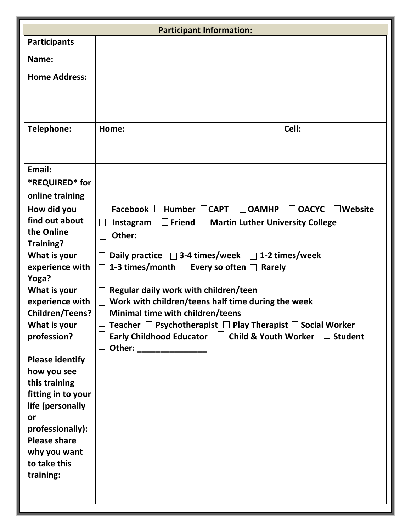| <b>Participant Information:</b> |                                                                                                           |  |  |
|---------------------------------|-----------------------------------------------------------------------------------------------------------|--|--|
| <b>Participants</b>             |                                                                                                           |  |  |
| Name:                           |                                                                                                           |  |  |
| <b>Home Address:</b>            |                                                                                                           |  |  |
|                                 |                                                                                                           |  |  |
| Telephone:                      | Cell:<br>Home:                                                                                            |  |  |
| Email:                          |                                                                                                           |  |  |
| *REQUIRED* for                  |                                                                                                           |  |  |
| online training                 |                                                                                                           |  |  |
| How did you                     | Facebook $\Box$ Humber $\Box$ CAPT<br>$\Box$ OACYC<br>$\Box$ Website<br>$\Box$ OAMHP<br>$\vert \ \ \vert$ |  |  |
| find out about                  | $\Box$ Friend $\Box$ Martin Luther University College<br>Instagram                                        |  |  |
| the Online                      | Other:<br>$\Box$                                                                                          |  |  |
| Training?                       |                                                                                                           |  |  |
| What is your                    | Daily practice $\Box$ 3-4 times/week $\Box$ 1-2 times/week                                                |  |  |
| experience with                 | 1-3 times/month $\Box$ Every so often $\Box$<br>Rarely<br>$\perp$                                         |  |  |
| Yoga?                           |                                                                                                           |  |  |
| What is your                    | Regular daily work with children/teen                                                                     |  |  |
| experience with                 | Work with children/teens half time during the week                                                        |  |  |
| <b>Children/Teens?</b>          | Minimal time with children/teens                                                                          |  |  |
| What is your                    | Teacher $\Box$ Psychotherapist $\Box$ Play Therapist $\Box$ Social Worker                                 |  |  |
| profession?                     | Early Childhood Educator $\Box$ Child & Youth Worker $\Box$ Student                                       |  |  |
| <b>Please identify</b>          |                                                                                                           |  |  |
| how you see                     |                                                                                                           |  |  |
| this training                   |                                                                                                           |  |  |
| fitting in to your              |                                                                                                           |  |  |
| life (personally                |                                                                                                           |  |  |
| or                              |                                                                                                           |  |  |
| professionally):                |                                                                                                           |  |  |
| <b>Please share</b>             |                                                                                                           |  |  |
| why you want                    |                                                                                                           |  |  |
| to take this                    |                                                                                                           |  |  |
| training:                       |                                                                                                           |  |  |
|                                 |                                                                                                           |  |  |
|                                 |                                                                                                           |  |  |